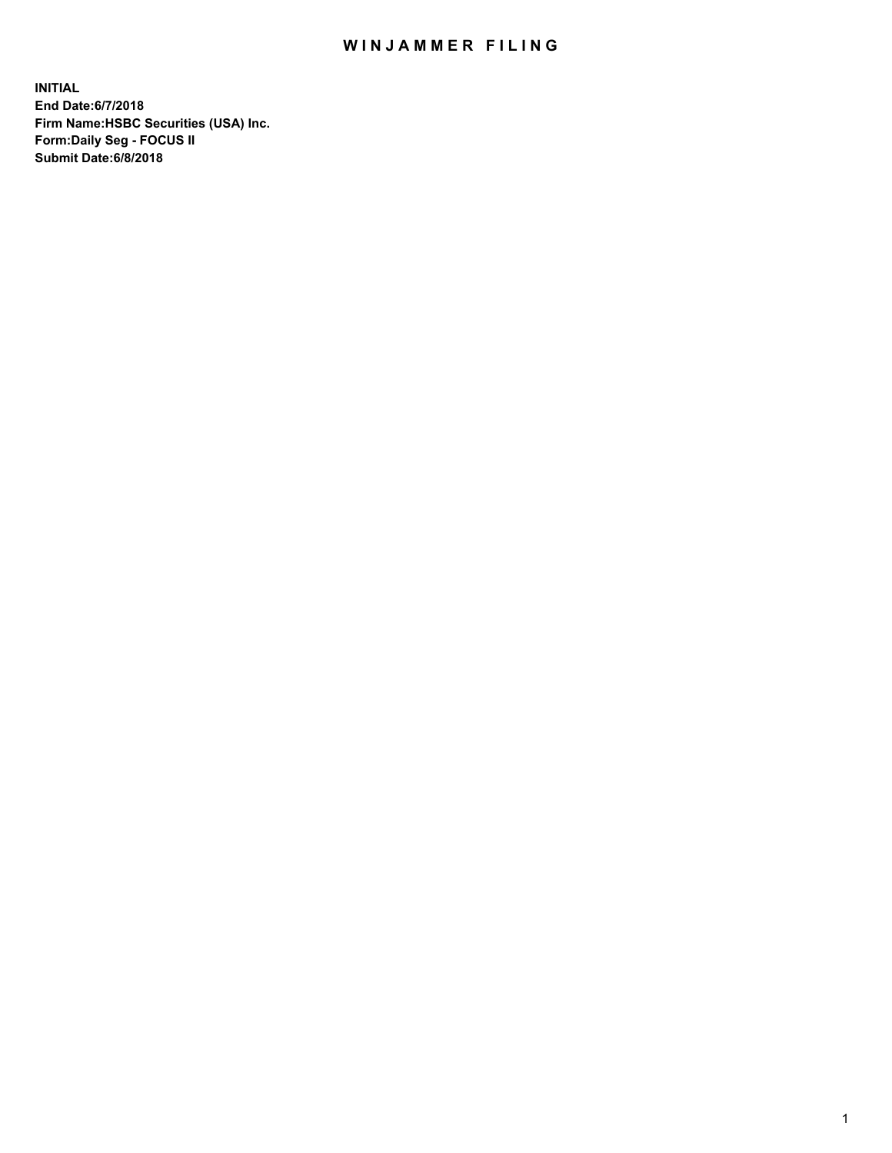## WIN JAMMER FILING

**INITIAL End Date:6/7/2018 Firm Name:HSBC Securities (USA) Inc. Form:Daily Seg - FOCUS II Submit Date:6/8/2018**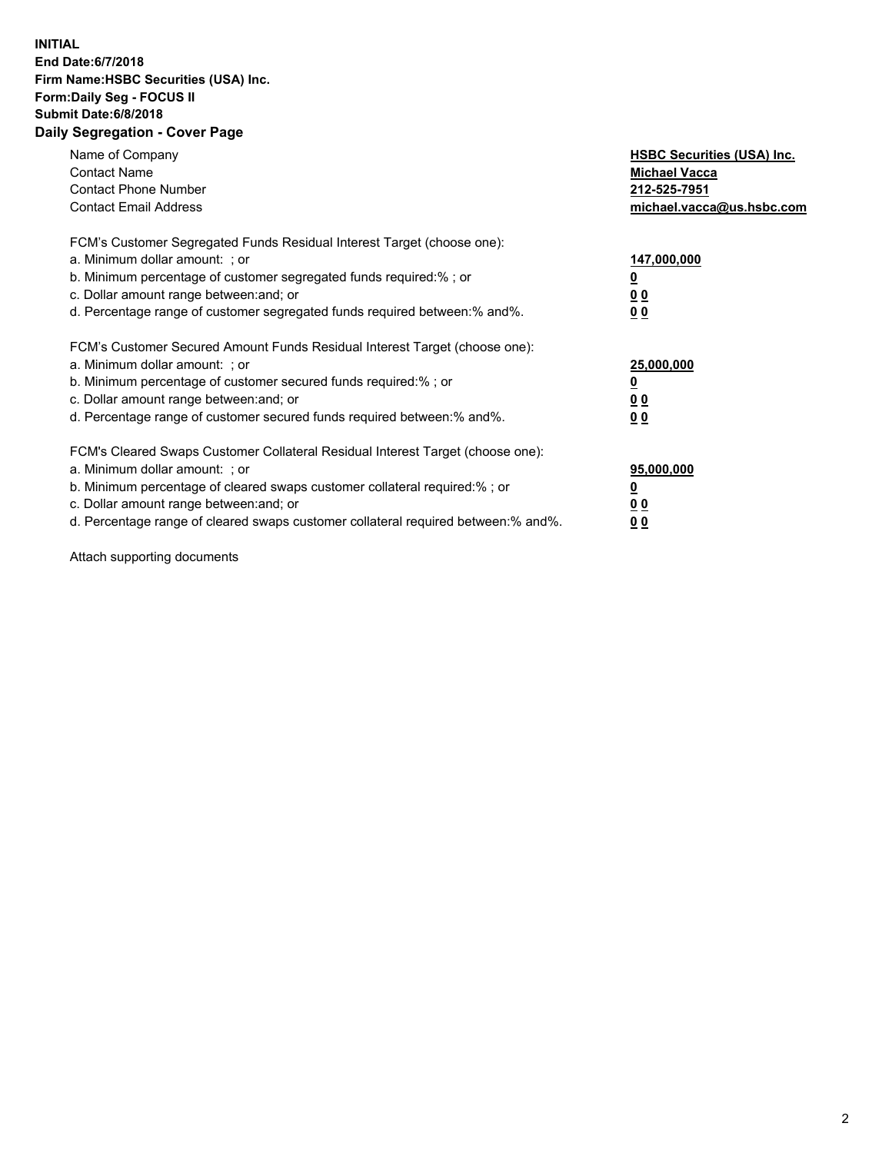## **INITIAL End Date:6/7/2018 Firm Name:HSBC Securities (USA) Inc. Form:Daily Seg - FOCUS II Submit Date:6/8/2018 Daily Segregation - Cover Page**

| Name of Company<br><b>Contact Name</b><br><b>Contact Phone Number</b><br><b>Contact Email Address</b>                                                                                                                                                                                                                          | <b>HSBC Securities (USA) Inc.</b><br><b>Michael Vacca</b><br>212-525-7951<br>michael.vacca@us.hsbc.com |
|--------------------------------------------------------------------------------------------------------------------------------------------------------------------------------------------------------------------------------------------------------------------------------------------------------------------------------|--------------------------------------------------------------------------------------------------------|
| FCM's Customer Segregated Funds Residual Interest Target (choose one):<br>a. Minimum dollar amount: ; or<br>b. Minimum percentage of customer segregated funds required:%; or<br>c. Dollar amount range between: and; or<br>d. Percentage range of customer segregated funds required between:% and%.                          | 147,000,000<br><u>0</u><br><u>00</u><br>00                                                             |
| FCM's Customer Secured Amount Funds Residual Interest Target (choose one):<br>a. Minimum dollar amount: ; or<br>b. Minimum percentage of customer secured funds required:%; or<br>c. Dollar amount range between: and; or<br>d. Percentage range of customer secured funds required between:% and%.                            | 25,000,000<br><u>0</u><br><u>00</u><br>00                                                              |
| FCM's Cleared Swaps Customer Collateral Residual Interest Target (choose one):<br>a. Minimum dollar amount: ; or<br>b. Minimum percentage of cleared swaps customer collateral required:% ; or<br>c. Dollar amount range between: and; or<br>d. Percentage range of cleared swaps customer collateral required between:% and%. | 95,000,000<br><u>0</u><br><u>00</u><br>0 <sub>0</sub>                                                  |

Attach supporting documents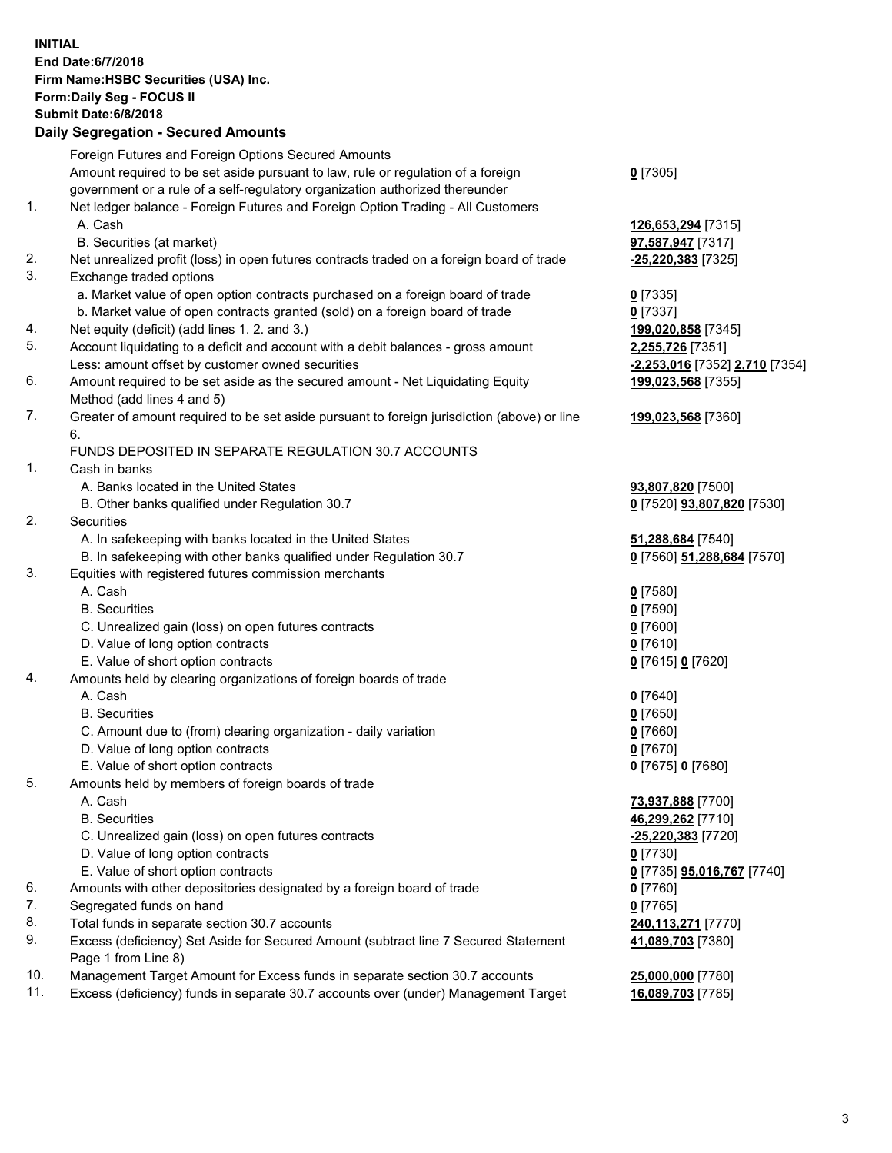**INITIAL End Date:6/7/2018 Firm Name:HSBC Securities (USA) Inc. Form:Daily Seg - FOCUS II Submit Date:6/8/2018 Daily Segregation - Secured Amounts** Foreign Futures and Foreign Options Secured Amounts Amount required to be set aside pursuant to law, rule or regulation of a foreign government or a rule of a self-regulatory organization authorized thereunder **0** [7305] 1. Net ledger balance - Foreign Futures and Foreign Option Trading - All Customers A. Cash **126,653,294** [7315] B. Securities (at market) **97,587,947** [7317] 2. Net unrealized profit (loss) in open futures contracts traded on a foreign board of trade **-25,220,383** [7325] 3. Exchange traded options a. Market value of open option contracts purchased on a foreign board of trade **0** [7335] b. Market value of open contracts granted (sold) on a foreign board of trade **0** [7337] 4. Net equity (deficit) (add lines 1. 2. and 3.) **199,020,858** [7345] 5. Account liquidating to a deficit and account with a debit balances - gross amount **2,255,726** [7351] Less: amount offset by customer owned securities **-2,253,016** [7352] **2,710** [7354] 6. Amount required to be set aside as the secured amount - Net Liquidating Equity Method (add lines 4 and 5) **199,023,568** [7355] 7. Greater of amount required to be set aside pursuant to foreign jurisdiction (above) or line 6. **199,023,568** [7360] FUNDS DEPOSITED IN SEPARATE REGULATION 30.7 ACCOUNTS 1. Cash in banks A. Banks located in the United States **93,807,820** [7500] B. Other banks qualified under Regulation 30.7 **0** [7520] **93,807,820** [7530] 2. Securities A. In safekeeping with banks located in the United States **51,288,684** [7540] B. In safekeeping with other banks qualified under Regulation 30.7 **0** [7560] **51,288,684** [7570] 3. Equities with registered futures commission merchants A. Cash **0** [7580] B. Securities **0** [7590] C. Unrealized gain (loss) on open futures contracts **0** [7600] D. Value of long option contracts **0** [7610] E. Value of short option contracts **0** [7615] **0** [7620] 4. Amounts held by clearing organizations of foreign boards of trade A. Cash **0** [7640] B. Securities **0** [7650] C. Amount due to (from) clearing organization - daily variation **0** [7660] D. Value of long option contracts **0** [7670] E. Value of short option contracts **0** [7675] **0** [7680] 5. Amounts held by members of foreign boards of trade A. Cash **73,937,888** [7700] B. Securities **46,299,262** [7710] C. Unrealized gain (loss) on open futures contracts **-25,220,383** [7720] D. Value of long option contracts **0** [7730] E. Value of short option contracts **0** [7735] **95,016,767** [7740] 6. Amounts with other depositories designated by a foreign board of trade **0** [7760] 7. Segregated funds on hand **0** [7765] 8. Total funds in separate section 30.7 accounts **240,113,271** [7770] 9. Excess (deficiency) Set Aside for Secured Amount (subtract line 7 Secured Statement Page 1 from Line 8) **41,089,703** [7380] 10. Management Target Amount for Excess funds in separate section 30.7 accounts **25,000,000** [7780]

11. Excess (deficiency) funds in separate 30.7 accounts over (under) Management Target **16,089,703** [7785]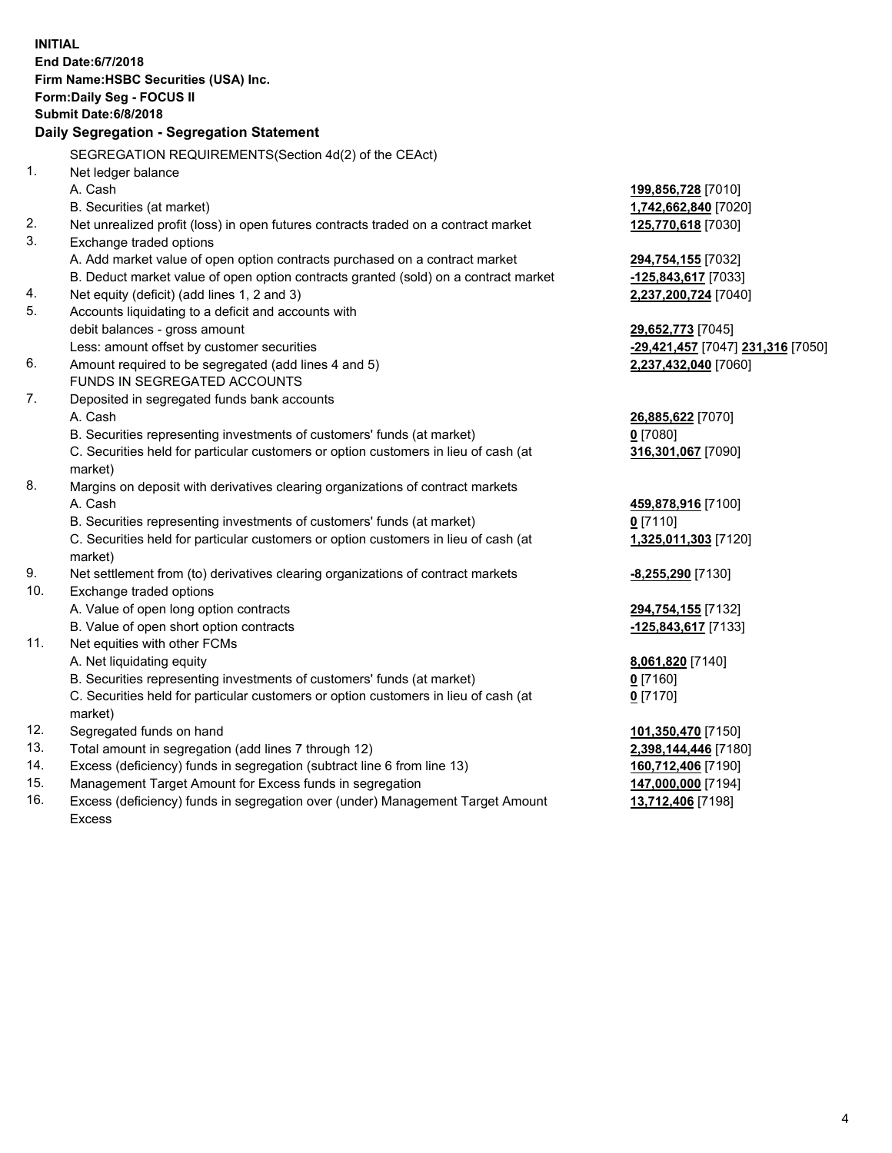| <b>INITIAL</b> |                                                                                                |                                   |  |  |  |  |
|----------------|------------------------------------------------------------------------------------------------|-----------------------------------|--|--|--|--|
|                | End Date:6/7/2018                                                                              |                                   |  |  |  |  |
|                | Firm Name: HSBC Securities (USA) Inc.                                                          |                                   |  |  |  |  |
|                | Form: Daily Seg - FOCUS II                                                                     |                                   |  |  |  |  |
|                | <b>Submit Date:6/8/2018</b>                                                                    |                                   |  |  |  |  |
|                | <b>Daily Segregation - Segregation Statement</b>                                               |                                   |  |  |  |  |
|                | SEGREGATION REQUIREMENTS(Section 4d(2) of the CEAct)                                           |                                   |  |  |  |  |
| 1.             | Net ledger balance                                                                             |                                   |  |  |  |  |
|                | A. Cash                                                                                        | 199,856,728 [7010]                |  |  |  |  |
|                | B. Securities (at market)                                                                      | 1,742,662,840 [7020]              |  |  |  |  |
| 2.             | Net unrealized profit (loss) in open futures contracts traded on a contract market             | 125,770,618 [7030]                |  |  |  |  |
| 3.             | Exchange traded options                                                                        |                                   |  |  |  |  |
|                | A. Add market value of open option contracts purchased on a contract market                    | 294,754,155 [7032]                |  |  |  |  |
|                | B. Deduct market value of open option contracts granted (sold) on a contract market            | -125,843,617 [7033]               |  |  |  |  |
| 4.             | Net equity (deficit) (add lines 1, 2 and 3)                                                    | 2,237,200,724 [7040]              |  |  |  |  |
| 5.             | Accounts liquidating to a deficit and accounts with                                            |                                   |  |  |  |  |
|                | debit balances - gross amount                                                                  | 29,652,773 [7045]                 |  |  |  |  |
|                | Less: amount offset by customer securities                                                     | -29,421,457 [7047] 231,316 [7050] |  |  |  |  |
| 6.             | Amount required to be segregated (add lines 4 and 5)                                           | 2,237,432,040 [7060]              |  |  |  |  |
|                | FUNDS IN SEGREGATED ACCOUNTS                                                                   |                                   |  |  |  |  |
| 7.             | Deposited in segregated funds bank accounts                                                    |                                   |  |  |  |  |
|                | A. Cash                                                                                        | 26,885,622 [7070]                 |  |  |  |  |
|                | B. Securities representing investments of customers' funds (at market)                         | $0$ [7080]                        |  |  |  |  |
|                | C. Securities held for particular customers or option customers in lieu of cash (at<br>market) | 316,301,067 [7090]                |  |  |  |  |
| 8.             | Margins on deposit with derivatives clearing organizations of contract markets                 |                                   |  |  |  |  |
|                | A. Cash                                                                                        | 459,878,916 [7100]                |  |  |  |  |
|                | B. Securities representing investments of customers' funds (at market)                         | $0$ [7110]                        |  |  |  |  |
|                | C. Securities held for particular customers or option customers in lieu of cash (at<br>market) | 1,325,011,303 [7120]              |  |  |  |  |
| 9.             | Net settlement from (to) derivatives clearing organizations of contract markets                | <u>-8,255,290</u> [7130]          |  |  |  |  |
| 10.            | Exchange traded options                                                                        |                                   |  |  |  |  |
|                | A. Value of open long option contracts                                                         | 294,754,155 [7132]                |  |  |  |  |
|                | B. Value of open short option contracts                                                        | -125,843,617 [7133]               |  |  |  |  |
| 11.            | Net equities with other FCMs                                                                   |                                   |  |  |  |  |
|                | A. Net liquidating equity                                                                      | 8,061,820 [7140]                  |  |  |  |  |
|                | B. Securities representing investments of customers' funds (at market)                         | 0 [7160]                          |  |  |  |  |
|                | C. Securities held for particular customers or option customers in lieu of cash (at            | $0$ [7170]                        |  |  |  |  |
|                | market)                                                                                        |                                   |  |  |  |  |
| 12.            | Segregated funds on hand                                                                       | 101,350,470 [7150]                |  |  |  |  |
| 13.            | Total amount in segregation (add lines 7 through 12)                                           | 2,398,144,446 [7180]              |  |  |  |  |
| 14.            | Excess (deficiency) funds in segregation (subtract line 6 from line 13)                        | 160,712,406 [7190]                |  |  |  |  |
| 15.            | Management Target Amount for Excess funds in segregation                                       | 147,000,000 [7194]                |  |  |  |  |

16. Excess (deficiency) funds in segregation over (under) Management Target Amount Excess

**13,712,406** [7198]